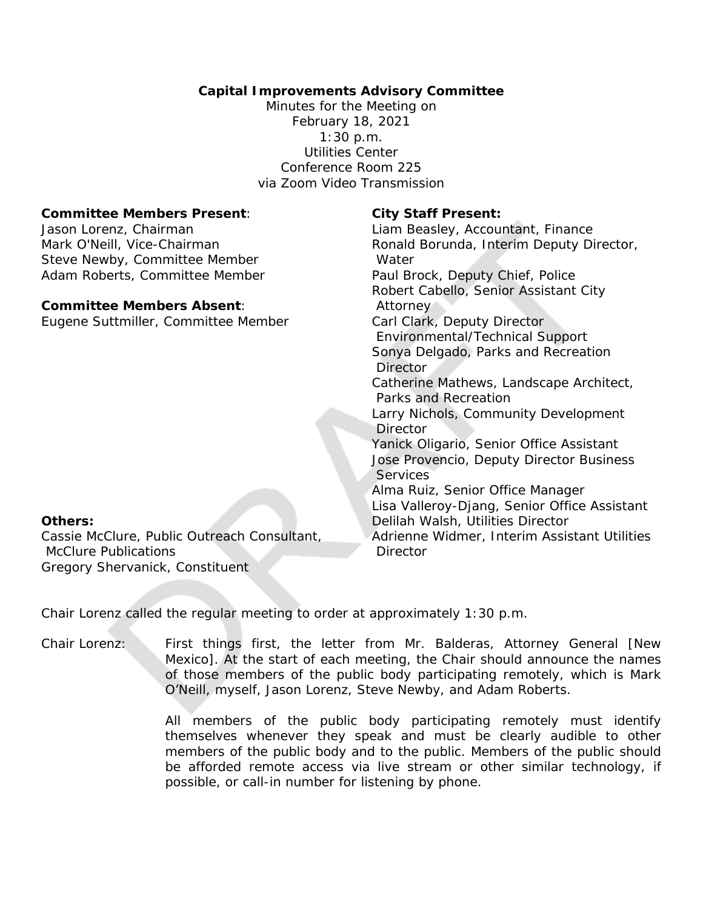# **Capital Improvements Advisory Committee**

Minutes for the Meeting on February 18, 2021 1:30 p.m. Utilities Center Conference Room 225 via Zoom Video Transmission

### **Committee Members Present**:

Jason Lorenz, Chairman Mark O'Neill, Vice-Chairman Steve Newby, Committee Member Adam Roberts, Committee Member

## **Committee Members Absent**:

Eugene Suttmiller, Committee Member

### **City Staff Present:**

Liam Beasley, Accountant, Finance Ronald Borunda, Interim Deputy Director, Water Paul Brock, Deputy Chief, Police Robert Cabello, Senior Assistant City Attorney Carl Clark, Deputy Director Environmental/Technical Support Sonya Delgado, Parks and Recreation Director Catherine Mathews, Landscape Architect, Parks and Recreation Larry Nichols, Community Development **Director** Yanick Oligario, Senior Office Assistant Jose Provencio, Deputy Director Business **Services** Alma Ruiz, Senior Office Manager Lisa Valleroy-Djang, Senior Office Assistant Delilah Walsh, Utilities Director Adrienne Widmer, Interim Assistant Utilities **Director** 

## **Others:**

Cassie McClure, Public Outreach Consultant, McClure Publications Gregory Shervanick, Constituent

Chair Lorenz called the regular meeting to order at approximately 1:30 p.m.

Chair Lorenz: First things first, the letter from Mr. Balderas, Attorney General [New Mexico]. At the start of each meeting, the Chair should announce the names of those members of the public body participating remotely, which is Mark O'Neill, myself, Jason Lorenz, Steve Newby, and Adam Roberts.

> All members of the public body participating remotely must identify themselves whenever they speak and must be clearly audible to other members of the public body and to the public. Members of the public should be afforded remote access via live stream or other similar technology, if possible, or call-in number for listening by phone.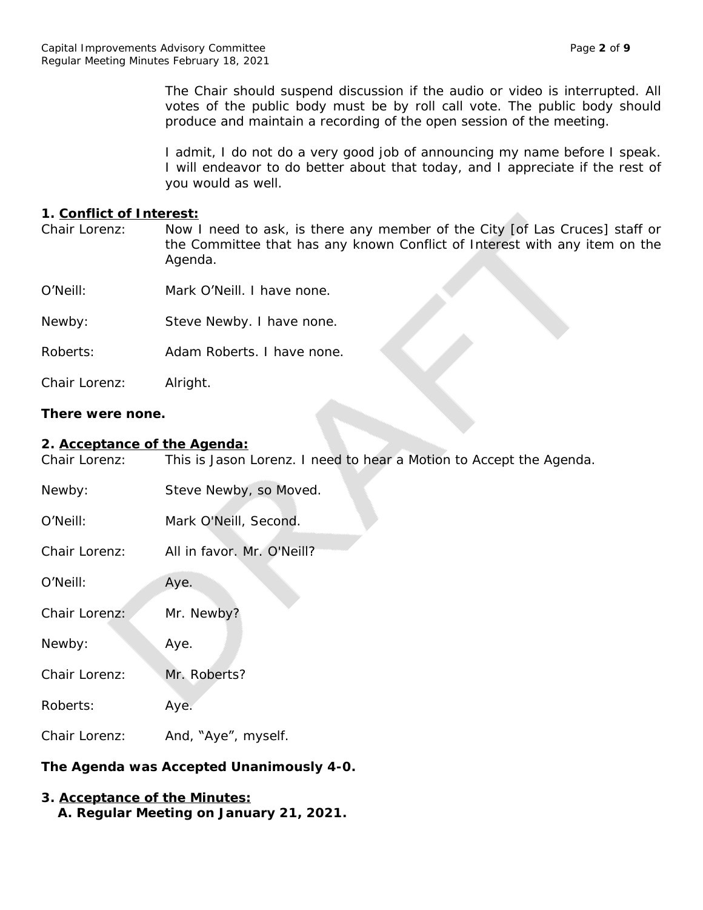The Chair should suspend discussion if the audio or video is interrupted. All votes of the public body must be by roll call vote. The public body should produce and maintain a recording of the open session of the meeting.

I admit, I do not do a very good job of announcing my name before I speak. I will endeavor to do better about that today, and I appreciate if the rest of you would as well.

### **1. Conflict of Interest:**

| Chair Lorenz: | Now I need to ask, is there any member of the City [of Las Cruces] staff or<br>the Committee that has any known Conflict of Interest with any item on the<br>Agenda. |
|---------------|----------------------------------------------------------------------------------------------------------------------------------------------------------------------|
| O'Neill:      | Mark O'Neill. I have none.                                                                                                                                           |
| Newby:        | Steve Newby. I have none.                                                                                                                                            |
| Roberts:      | Adam Roberts. I have none.                                                                                                                                           |
| Chair Lorenz: | Alright.                                                                                                                                                             |

## **There were none.**

### **2. Acceptance of the Agenda:**

Chair Lorenz: This is Jason Lorenz. I need to hear a Motion to Accept the Agenda.

| Newby:        | Steve Newby, so Moved.     |
|---------------|----------------------------|
| O'Neill:      | Mark O'Neill, Second.      |
| Chair Lorenz: | All in favor. Mr. O'Neill? |
| O'Neill:      | Aye.                       |
| Chair Lorenz: | Mr. Newby?                 |
| Newby:        | Aye.                       |
| Chair Lorenz: | Mr. Roberts?               |
| Roberts:      | Aye.                       |
| Chair Lorenz: | And, "Aye", myself.        |

# **The Agenda was Accepted Unanimously 4-0.**

## **3. Acceptance of the Minutes: A. Regular Meeting on January 21, 2021.**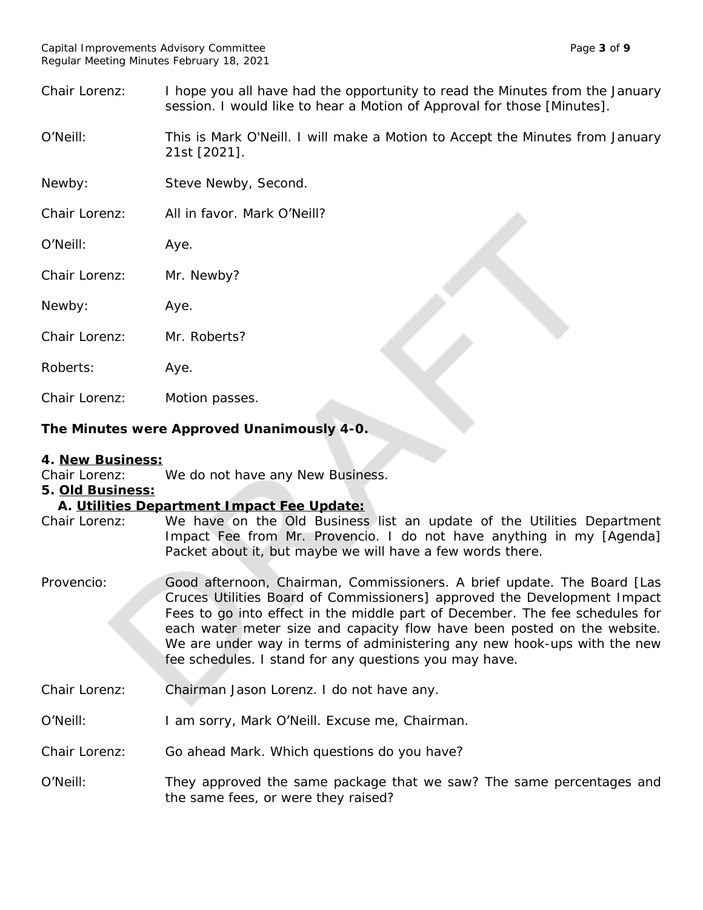Chair Lorenz: I hope you all have had the opportunity to read the Minutes from the January session. I would like to hear a Motion of Approval for those [Minutes].

O'Neill: This is Mark O'Neill. I will make a Motion to Accept the Minutes from January 21st [2021].

Newby: Steve Newby, Second.

Chair Lorenz: All in favor. Mark O'Neill?

O'Neill: Aye.

Chair Lorenz: Mr. Newby?

Newby: Aye.

Chair Lorenz: Mr. Roberts?

Roberts: Aye.

Chair Lorenz: Motion passes.

# **The Minutes were Approved Unanimously 4-0.**

## **4. New Business:**

Chair Lorenz: We do not have any New Business.

**5. Old Business:**

## **A. Utilities Department Impact Fee Update:**

- Chair Lorenz: We have on the Old Business list an update of the Utilities Department Impact Fee from Mr. Provencio. I do not have anything in my [Agenda] Packet about it, but maybe we will have a few words there.
- Provencio: Good afternoon, Chairman, Commissioners. A brief update. The Board [Las Cruces Utilities Board of Commissioners] approved the Development Impact Fees to go into effect in the middle part of December. The fee schedules for each water meter size and capacity flow have been posted on the website. We are under way in terms of administering any new hook-ups with the new fee schedules. I stand for any questions you may have.
- Chair Lorenz: Chairman Jason Lorenz. I do not have any.
- O'Neill: I am sorry, Mark O'Neill. Excuse me, Chairman.
- Chair Lorenz: Go ahead Mark. Which questions do you have?
- O'Neill: They approved the same package that we saw? The same percentages and the same fees, or were they raised?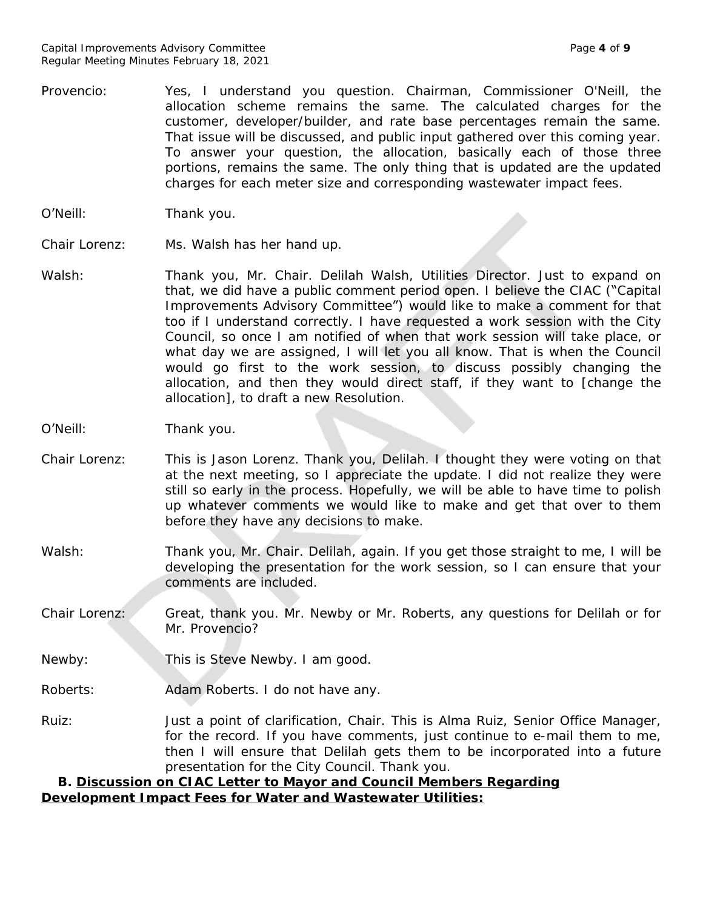- Provencio: Yes, I understand you question. Chairman, Commissioner O'Neill, the allocation scheme remains the same. The calculated charges for the customer, developer/builder, and rate base percentages remain the same. That issue will be discussed, and public input gathered over this coming year. To answer your question, the allocation, basically each of those three portions, remains the same. The only thing that is updated are the updated charges for each meter size and corresponding wastewater impact fees.
- O'Neill: Thank you.
- Chair Lorenz: Ms. Walsh has her hand up.
- Walsh: Thank you, Mr. Chair. Delilah Walsh, Utilities Director. Just to expand on that, we did have a public comment period open. I believe the CIAC ("Capital Improvements Advisory Committee") would like to make a comment for that too if I understand correctly. I have requested a work session with the City Council, so once I am notified of when that work session will take place, or what day we are assigned, I will let you all know. That is when the Council would go first to the work session, to discuss possibly changing the allocation, and then they would direct staff, if they want to [change the allocation], to draft a new Resolution.
- O'Neill: Thank you.
- Chair Lorenz: This is Jason Lorenz. Thank you, Delilah. I thought they were voting on that at the next meeting, so I appreciate the update. I did not realize they were still so early in the process. Hopefully, we will be able to have time to polish up whatever comments we would like to make and get that over to them before they have any decisions to make.
- Walsh: Thank you, Mr. Chair. Delilah, again. If you get those straight to me, I will be developing the presentation for the work session, so I can ensure that your comments are included.
- Chair Lorenz: Great, thank you. Mr. Newby or Mr. Roberts, any questions for Delilah or for Mr. Provencio?
- Newby: This is Steve Newby. I am good.
- Roberts: Adam Roberts. I do not have any.
- Ruiz: Just a point of clarification, Chair. This is Alma Ruiz, Senior Office Manager, for the record. If you have comments, just continue to e-mail them to me, then I will ensure that Delilah gets them to be incorporated into a future presentation for the City Council. Thank you.

## **B. Discussion on CIAC Letter to Mayor and Council Members Regarding Development Impact Fees for Water and Wastewater Utilities:**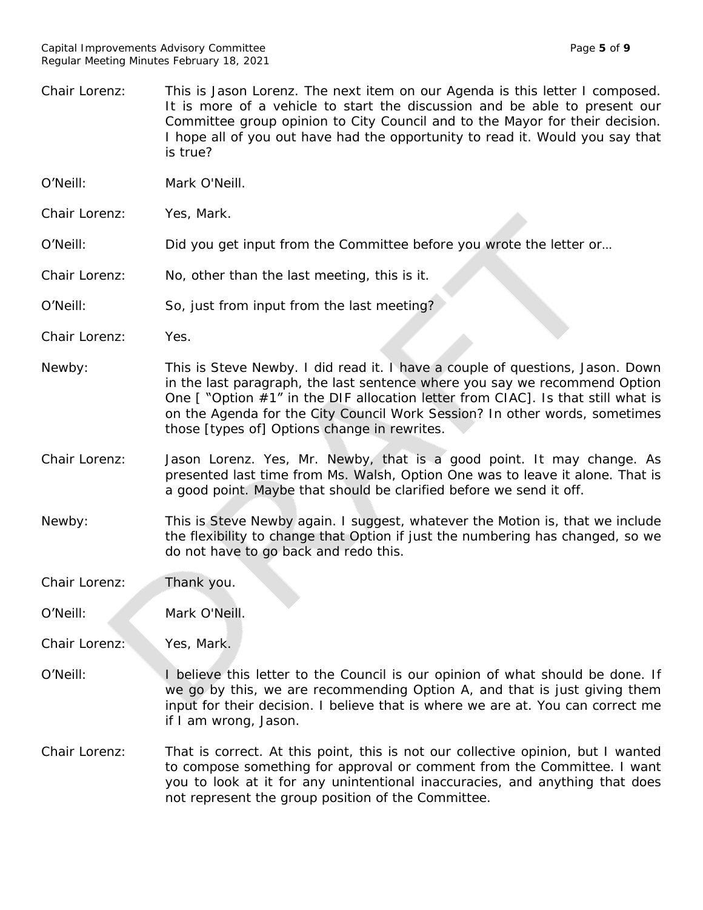Chair Lorenz: This is Jason Lorenz. The next item on our Agenda is this letter I composed. It is more of a vehicle to start the discussion and be able to present our Committee group opinion to City Council and to the Mayor for their decision. I hope all of you out have had the opportunity to read it. Would you say that is true? O'Neill: Mark O'Neill. Chair Lorenz: Yes, Mark. O'Neill: Did you get input from the Committee before you wrote the letter or… Chair Lorenz: No, other than the last meeting, this is it. O'Neill: So, just from input from the last meeting? Chair Lorenz: Yes. Newby: This is Steve Newby. I did read it. I have a couple of questions, Jason. Down in the last paragraph, the last sentence where you say we recommend Option One [ "Option #1" in the DIF allocation letter from CIAC]. Is that still what is on the Agenda for the City Council Work Session? In other words, sometimes those [types of] Options change in rewrites. Chair Lorenz: Jason Lorenz. Yes, Mr. Newby, that is a good point. It may change. As presented last time from Ms. Walsh, Option One was to leave it alone. That is a good point. Maybe that should be clarified before we send it off. Newby: This is Steve Newby again. I suggest, whatever the Motion is, that we include the flexibility to change that Option if just the numbering has changed, so we do not have to go back and redo this. Chair Lorenz: Thank you. O'Neill: Mark O'Neill. Chair Lorenz: Yes, Mark. O'Neill: I believe this letter to the Council is our opinion of what should be done. If we go by this, we are recommending Option A, and that is just giving them input for their decision. I believe that is where we are at. You can correct me if I am wrong, Jason. Chair Lorenz: That is correct. At this point, this is not our collective opinion, but I wanted to compose something for approval or comment from the Committee. I want you to look at it for any unintentional inaccuracies, and anything that does not represent the group position of the Committee.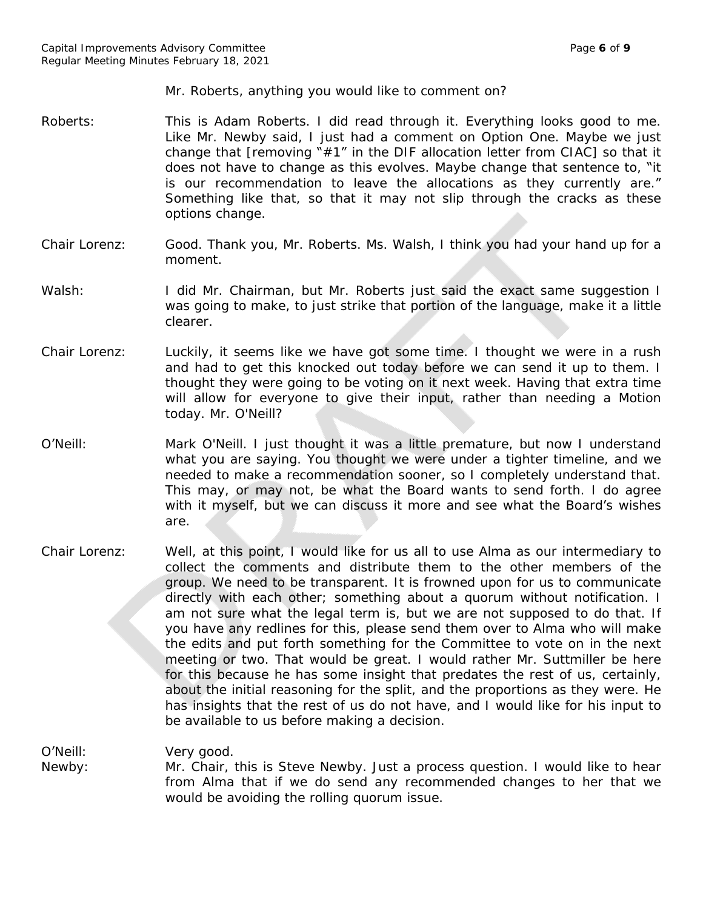Mr. Roberts, anything you would like to comment on?

- Roberts: This is Adam Roberts. I did read through it. Everything looks good to me. Like Mr. Newby said, I just had a comment on Option One. Maybe we just change that [removing "#1" in the DIF allocation letter from CIAC] so that it does not have to change as this evolves. Maybe change that sentence to, "it is our recommendation to leave the allocations as they currently are." Something like that, so that it may not slip through the cracks as these options change.
- Chair Lorenz: Good. Thank you, Mr. Roberts. Ms. Walsh, I think you had your hand up for a moment.
- Walsh: I did Mr. Chairman, but Mr. Roberts just said the exact same suggestion I was going to make, to just strike that portion of the language, make it a little clearer.
- Chair Lorenz: Luckily, it seems like we have got some time. I thought we were in a rush and had to get this knocked out today before we can send it up to them. I thought they were going to be voting on it next week. Having that extra time will allow for everyone to give their input, rather than needing a Motion today. Mr. O'Neill?
- O'Neill: Mark O'Neill. I just thought it was a little premature, but now I understand what you are saying. You thought we were under a tighter timeline, and we needed to make a recommendation sooner, so I completely understand that. This may, or may not, be what the Board wants to send forth. I do agree with it myself, but we can discuss it more and see what the Board's wishes are.
- Chair Lorenz: Well, at this point, I would like for us all to use Alma as our intermediary to collect the comments and distribute them to the other members of the group. We need to be transparent. It is frowned upon for us to communicate directly with each other; something about a quorum without notification. I am not sure what the legal term is, but we are not supposed to do that. If you have any redlines for this, please send them over to Alma who will make the edits and put forth something for the Committee to vote on in the next meeting or two. That would be great. I would rather Mr. Suttmiller be here for this because he has some insight that predates the rest of us, certainly, about the initial reasoning for the split, and the proportions as they were. He has insights that the rest of us do not have, and I would like for his input to be available to us before making a decision.

O'Neill: Very good.

Newby: Mr. Chair, this is Steve Newby. Just a process question. I would like to hear from Alma that if we do send any recommended changes to her that we would be avoiding the rolling quorum issue.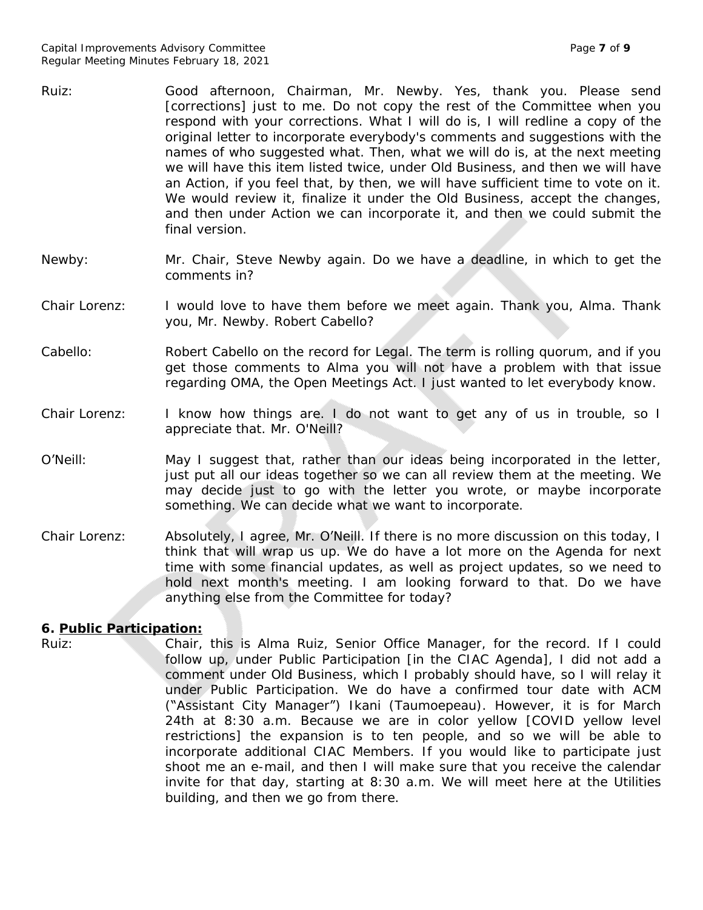- Ruiz: Good afternoon, Chairman, Mr. Newby. Yes, thank you. Please send [corrections] just to me. Do not copy the rest of the Committee when you respond with your corrections. What I will do is, I will redline a copy of the original letter to incorporate everybody's comments and suggestions with the names of who suggested what. Then, what we will do is, at the next meeting we will have this item listed twice, under Old Business, and then we will have an Action, if you feel that, by then, we will have sufficient time to vote on it. We would review it, finalize it under the Old Business, accept the changes, and then under Action we can incorporate it, and then we could submit the final version.
- Newby: Mr. Chair, Steve Newby again. Do we have a deadline, in which to get the comments in?
- Chair Lorenz: I would love to have them before we meet again. Thank you, Alma. Thank you, Mr. Newby. Robert Cabello?
- Cabello: Robert Cabello on the record for Legal. The term is rolling quorum, and if you get those comments to Alma you will not have a problem with that issue regarding OMA, the Open Meetings Act. I just wanted to let everybody know.
- Chair Lorenz: I know how things are. I do not want to get any of us in trouble, so I appreciate that. Mr. O'Neill?
- O'Neill: May I suggest that, rather than our ideas being incorporated in the letter, just put all our ideas together so we can all review them at the meeting. We may decide just to go with the letter you wrote, or maybe incorporate something. We can decide what we want to incorporate.
- Chair Lorenz: Absolutely, I agree, Mr. O'Neill. If there is no more discussion on this today, I think that will wrap us up. We do have a lot more on the Agenda for next time with some financial updates, as well as project updates, so we need to hold next month's meeting. I am looking forward to that. Do we have anything else from the Committee for today?

## **6. Public Participation:**

Ruiz: Chair, this is Alma Ruiz, Senior Office Manager, for the record. If I could follow up, under Public Participation [in the CIAC Agenda], I did not add a comment under Old Business, which I probably should have, so I will relay it under Public Participation. We do have a confirmed tour date with ACM ("Assistant City Manager") Ikani (Taumoepeau). However, it is for March 24th at 8:30 a.m. Because we are in color yellow [COVID yellow level restrictions] the expansion is to ten people, and so we will be able to incorporate additional CIAC Members. If you would like to participate just shoot me an e-mail, and then I will make sure that you receive the calendar invite for that day, starting at 8:30 a.m. We will meet here at the Utilities building, and then we go from there.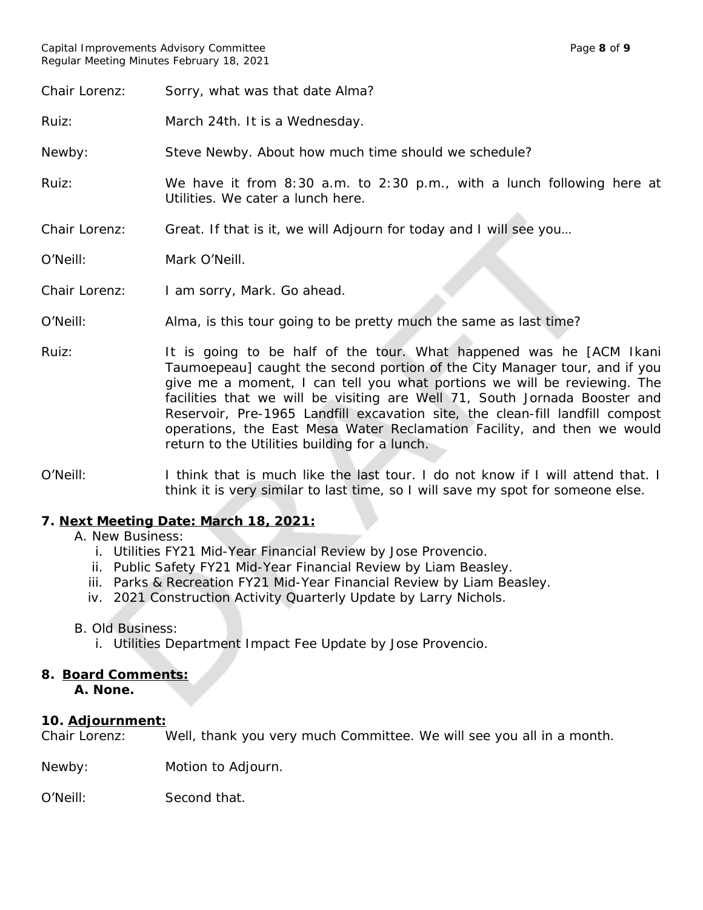Chair Lorenz: Sorry, what was that date Alma?

Ruiz: March 24th. It is a Wednesday.

Newby: Steve Newby. About how much time should we schedule?

Ruiz: We have it from 8:30 a.m. to 2:30 p.m., with a lunch following here at Utilities. We cater a lunch here.

Chair Lorenz: Great. If that is it, we will Adjourn for today and I will see you…

O'Neill: Mark O'Neill.

Chair Lorenz: I am sorry, Mark. Go ahead.

O'Neill: Alma, is this tour going to be pretty much the same as last time?

- Ruiz: It is going to be half of the tour. What happened was he [ACM Ikani Taumoepeau] caught the second portion of the City Manager tour, and if you give me a moment, I can tell you what portions we will be reviewing. The facilities that we will be visiting are Well 71, South Jornada Booster and Reservoir, Pre-1965 Landfill excavation site, the clean-fill landfill compost operations, the East Mesa Water Reclamation Facility, and then we would return to the Utilities building for a lunch.
- O'Neill: I think that is much like the last tour. I do not know if I will attend that. I think it is very similar to last time, so I will save my spot for someone else.

## **7. Next Meeting Date: March 18, 2021:**

A. New Business:

- i. Utilities FY21 Mid-Year Financial Review by Jose Provencio.
- ii. Public Safety FY21 Mid-Year Financial Review by Liam Beasley.
- iii. Parks & Recreation FY21 Mid-Year Financial Review by Liam Beasley.
- iv. 2021 Construction Activity Quarterly Update by Larry Nichols.

## B. Old Business:

i. Utilities Department Impact Fee Update by Jose Provencio.

## **8. Board Comments:**

**A. None.**

## **10. Adjournment:**

Chair Lorenz: Well, thank you very much Committee. We will see you all in a month.

Newby: Motion to Adjourn.

O'Neill: Second that.